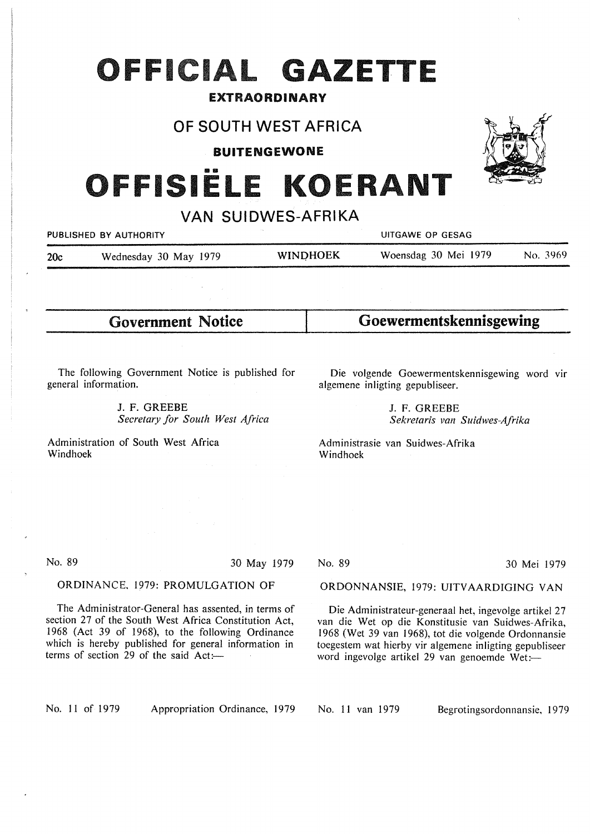# **OFFICIAL GAZETTE**

#### EXTRAORDINARY

### OF SOUTH WEST AFRICA

BUITENGEWONE

# **ISIËLE KOERANT**

VAN SUIDWES-AFRIKA

|     | PUBLISHED BY AUTHORITY |                 | UITGAWE OP GESAG     |          |
|-----|------------------------|-----------------|----------------------|----------|
| 20c | Wednesday 30 May 1979  | <b>WINDHOEK</b> | Woensdag 30 Mei 1979 | No. 3969 |
|     |                        |                 |                      |          |

Government Notice

**Goewermentskennisgewing** 

The following Government Notice is published for general information.

> J. F. GREEBE *Secretary for South West Africa*

Administration of South West Africa Windhoek

Die volgende Goewermentskennisgewing word vir algemene inligting gepubliseer.

> J. F. GREEBE *Sekretaris van Suidwes-Afrika*

Administrasie van Suidwes-Afrika Windhoek

No. 89 30 May 1979

#### ORDINANCE, 1979: PROMULGATION OF

The Administrator-General has assented, in terms of section 27 of the South West Africa Constitution Act, 1968 (Act 39 of 1968), to the following Ordinance which is hereby published for general information in terms of section 29 of the said  $Act:=$ 

No. 89 30 Mei 1979

#### ORDONNANSIE, 1979: UITVAARDIGING VAN

Die Administrateur-generaal het, ingevolge artikel 27 van die Wet op die Konstitusie van Suidwes-Afrika, 1968 (Wet 39 van 1968), tot die volgende Ordonnansie toegestem wat hierby vir algemene inligting gepubliseer word ingevolge artikel 29 van genoemde Wet:-

No. 11 of 1979 Appropriation Ordinance, 1979

No. 11 van 1979 Begrotingsordonnansie, 1979

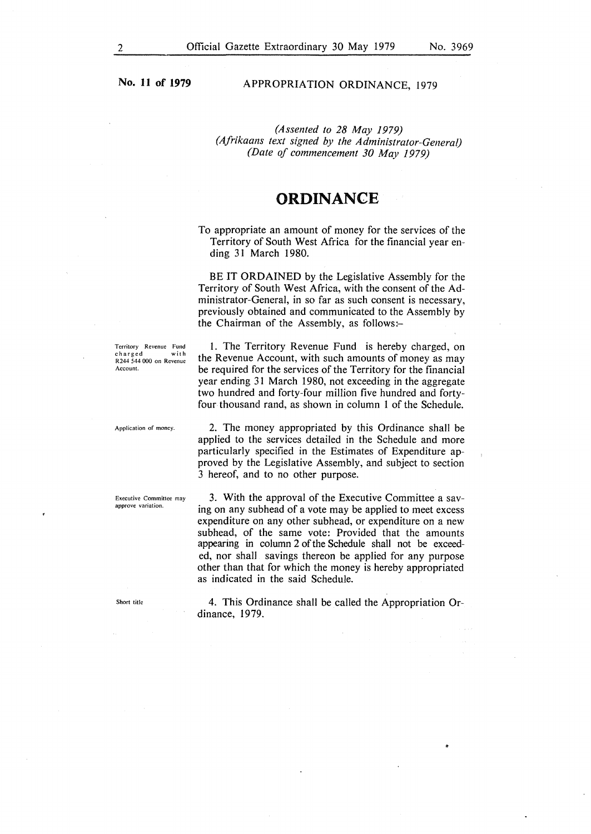**No. 11 of 1979** 

#### APPROPRIATION ORDINANCE, 1979

*(Assented to 28 May 1979) (Afrikaans text signed by the Administrator-General) (Date of commencement 30 May 1979)* 

#### **ORDINANCE**

To appropriate an amount of money for the services of the Territory of South West Africa for the financial year ending 31 March 1980.

BE IT **ORDAINED** by the Legislative Assembly for the Territory of South West Africa, with the consent of the Administrator-General, in so far as such consent is necessary, previously obtained and communicated to the Assembly by the Chairman of the Assembly, as follows:-

**Territory Revenue Fund**   $charged$ R244 544 000 on Revenue **Account.** 

!. The Territory Revenue Fund is hereby charged, on the Revenue Account, with such amounts of money as may be required for the services of the Territory for the financial year ending 31 March 1980, not exceeding in the aggregate two hundred and forty-four million five hundred and fortyfour thousand rand, as shown in column I of the Schedule.

**Application of money.** 

**Executive Committee may approve variation.** 

Short title

2. The money appropriated by this Ordinance shall be applied to the services detailed in the Schedule and more particularly specified in the Estimates of Expenditure approved by the Legislative Assembly, and subject to section 3 hereof, and to no other purpose.

3. With the approval of the Executive Committee a saving on any subhead of a vote may be applied to meet excess expenditure on any other subhead, or expenditure on a new subhead, of the same vote: Provided that the amounts appearing in column 2 of the Schedule shall not be exceeded, nor shall savings thereon be applied for any purpose other than that for which the money is hereby appropriated as indicated in the said Schedule.

4. This Ordinance shall be called the Appropriation Ordinance, 1979.

~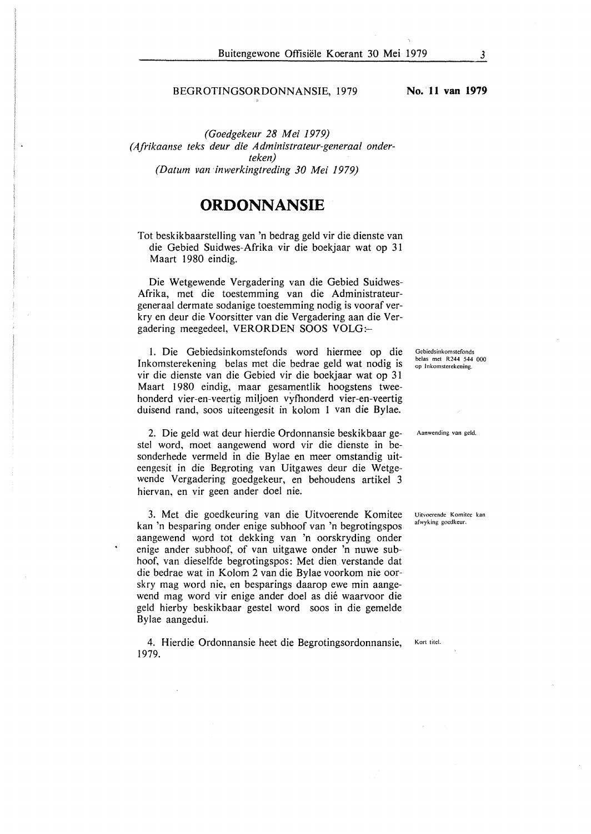#### BEGROTINGSORDONNANSIE, 1979

*(Goedgekeur 28 Mei 1979) (Afrikaanse teks deur die Administrateur-generaal onderteken) (Datum van ·inwerkingtreding 30 Mei 1979)* 

#### **ORDONNANSIE**

Tot beskikbaarstelling van 'n bedrag geld vir die dienste van die Gebied Suidwes-Afrika vir die boekjaar wat op 31 Maart 1980 eindig.

Die Wetgewende Vergadering van die Gebied Suidwes-Afrika, met die toestemming van die Administrateurgeneraal dermate sodanige toestemming nodig is vooraf verkry en deur die Voorsitter van die Vergadering aan die Vergadering meegedeel, VERORDEN SOOS VOLG:-

1. Die Gebiedsinkomstefonds word hiermee op die Inkomsterekening belas met die bedrae geld wat nodig is vir die dienste van die Gebied vir die boekjaar wat op 31 Maart 1980 eindig, maar gesamentlik hoogstens tweehonderd vier-en-veertig miljoen vyfhonderd vier-en-veertig duisend rand, soos uiteengesit in kolom 1 van die Bylae.

2. Die geld wat deur hierdie Ordonnansie beskikbaar gestel word, moet aangewend word vir die dienste in besonderhede vermeld in die Bylae en meer omstandig uiteengesit in die Begroting van Uitgawes deur die Wetgewende Vergadering goedgekeur, en behoudens artikel 3 hiervan, en vir geen ander doel nie.

3. Met die goedkeuring van die Uitvoerende Komitee kan 'n besparing onder enige subhoof van 'n begrotingspos aangewend word tot dekking van 'n oorskryding onder enige ander subhoof, of van uitgawe onder 'n nuwe subhoof, van dieselfde begrotingspos: Met dien verstande dat die bedrae wat in Kolom 2 van die Bylae voorkom nie oorskry mag word nie, en besparings daarop ewe min aangewend mag word vir enige ander doel as dié waarvoor die geld hierby beskikbaar gestel word soos in die gemelde Bylae aangedui.

4. Hierdie Ordonnansie heet die Begrotingsordonnansie, 1979.

**Gebicdsinkomstefonds**  belas met R244 544 000 **op lnkomsterekening.** 

**Aanwending van geld.** 

**Uitvoerende Komitcc kan**  afwyking goedkeur,

**No. 11 van 1979** 

Kort titel.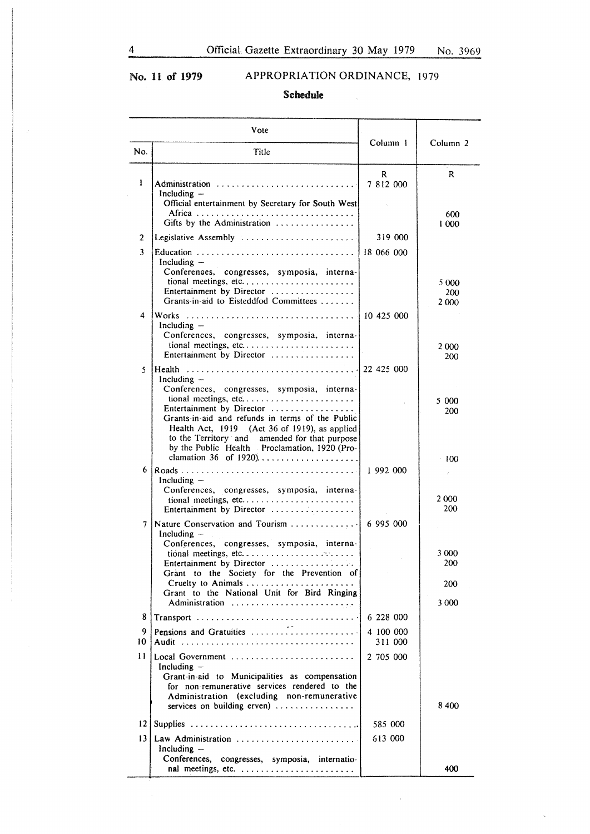$\hat{\mathcal{A}}$ 

# No. 11 of 1979 APPROPRIATION ORDINANCE, 1979

 $\mathcal{L}_{\mathcal{A}}$ 

Schedule

|                 | Vote                                                                                                                                                                                                                                                                                                    | Column 1             | Column <sub>2</sub>  |
|-----------------|---------------------------------------------------------------------------------------------------------------------------------------------------------------------------------------------------------------------------------------------------------------------------------------------------------|----------------------|----------------------|
| No.             | Title                                                                                                                                                                                                                                                                                                   |                      |                      |
| 1               | Administration<br>Including $-$<br>Official entertainment by Secretary for South West                                                                                                                                                                                                                   | R<br>7 812 000       | R<br>600             |
|                 | Gifts by the Administration                                                                                                                                                                                                                                                                             | 319 000              | 1 000                |
| 2<br>3          | Legislative Assembly                                                                                                                                                                                                                                                                                    | 18 066 000           |                      |
|                 | Including $-$<br>Conferences, congresses, symposia, interna-<br>tional meetings, etc<br>Entertainment by Director<br>Grants-in-aid to Eisteddfod Committees                                                                                                                                             |                      | 5 000<br>200<br>2000 |
| 4               | Including $-$<br>Conferences, congresses, symposia, interna-<br>Entertainment by Director                                                                                                                                                                                                               |                      | 2 000.<br>200        |
| 5               | Including $-$                                                                                                                                                                                                                                                                                           |                      |                      |
|                 | Conferences, congresses, symposia, interna-<br>tional meetings, etc<br>Entertainment by Director<br>Grants-in-aid and refunds in terms of the Public<br>Health Act, 1919 (Act 36 of 1919), as applied<br>to the Territory and amended for that purpose<br>by the Public Health Proclamation, 1920 (Pro- |                      | 5 000<br>200         |
| 6               | clamation 36 of 1920)<br>Including $-$                                                                                                                                                                                                                                                                  | 1992000              | 100<br>$\sim$<br>÷.  |
|                 | Conferences, congresses, symposia, interna-<br>Entertainment by Director                                                                                                                                                                                                                                |                      | 2000<br>200          |
| 7               | Nature Conservation and Tourism  6 995 000<br>Including $-$<br>$\alpha_{\rm{max}}$<br>Conferences, congresses, symposia, interna-                                                                                                                                                                       |                      | 3 000                |
|                 | Entertainment by Director $\dots \dots \dots \dots \dots$                                                                                                                                                                                                                                               |                      | 200                  |
|                 | Grant to the Society for the Prevention of                                                                                                                                                                                                                                                              |                      | 200                  |
|                 | Grant to the National Unit for Bird Ringing<br>Administration                                                                                                                                                                                                                                           |                      | 3 000                |
| 8               |                                                                                                                                                                                                                                                                                                         | 6 228 000            |                      |
| 9<br>10         | Pensions and Gratuities                                                                                                                                                                                                                                                                                 | 4 100 000<br>311 000 |                      |
| Ħ               | Local Government<br>Including $-$<br>Grant-in-aid to Municipalities as compensation<br>for non-remunerative services rendered to the<br>Administration (excluding non-remunerative<br>services on building erven) $\ldots$                                                                              | 2 705 000            | 8400                 |
| 12              |                                                                                                                                                                                                                                                                                                         | 585 000              |                      |
| 13 <sup>1</sup> | Law Administration<br>Including $-$<br>Conferences, congresses, symposia, internatio-                                                                                                                                                                                                                   | 613 000              |                      |
|                 |                                                                                                                                                                                                                                                                                                         |                      | 400                  |

 $\sim$   $\mu$ 

 $\bar{\zeta}$ 

 $\hat{\mathcal{S}}$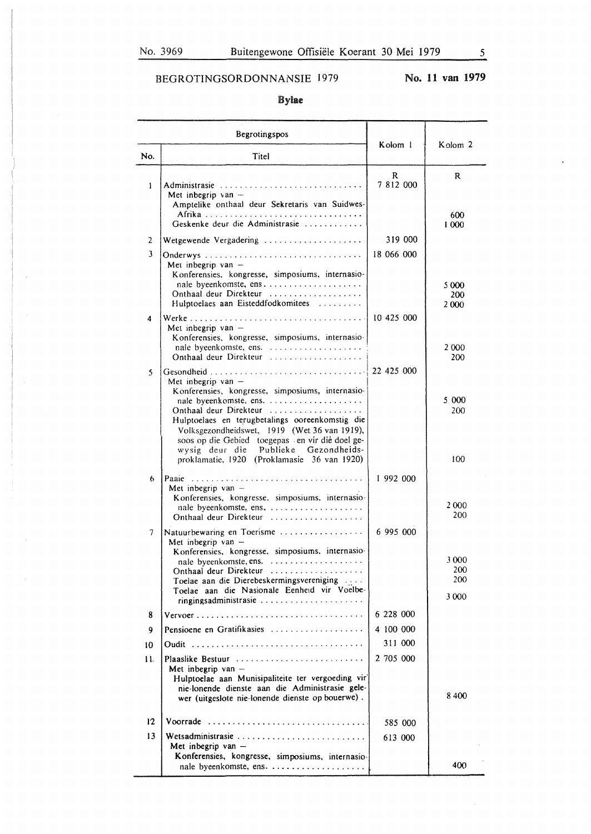$\hat{\vec{z}}$ 

# BEGROTINGSORDONNANSIE 1979

# No. **11 van 1979**

#### Bylae

| Begrotingspos |                                                                                                                                                                                                                                                                          | Kolom 1              | Kolom <sub>2</sub>    |
|---------------|--------------------------------------------------------------------------------------------------------------------------------------------------------------------------------------------------------------------------------------------------------------------------|----------------------|-----------------------|
| No.           | Titel                                                                                                                                                                                                                                                                    |                      |                       |
| Ł             | Administrasie<br>Met inbegrip van $-$<br>Amptelike onthaal deur Sekretaris van Suidwes-                                                                                                                                                                                  | R<br>7 812 000       | R<br>600              |
|               | Geskenke deur die Administrasie                                                                                                                                                                                                                                          |                      | 1 000                 |
| 2             | Wetgewende Vergadering                                                                                                                                                                                                                                                   | 319 000              |                       |
| 3             | Onderwys<br>Met inbegrip van $-$<br>Konferensies, kongresse, simposiums, internasio-<br>Onthaal deur Direkteur<br>Hulptoelaes aan Eisteddfodkomitees                                                                                                                     | 18 066 000           | 5 000<br>200<br>2000  |
| 4             | Met inbegrip van $-$<br>Konferensies, kongresse, simposiums, internasio-                                                                                                                                                                                                 |                      | 2 0 0 0               |
| 5             | Onthaal deur Direkteur<br>Met inbegrip van $-$                                                                                                                                                                                                                           |                      | 200                   |
|               | Konferensies, kongresse, simposiums, internasio-<br>Onthaal deur Direkteur<br>Hulptoelaes en terugbetalings ooreenkomstig die<br>Volksgezondheidswet, 1919 (Wet 36 van 1919),<br>soos op die Gebied toegepas en vir dié doel ge-<br>wysig deur die Publieke Gezondheids- |                      | 5 000<br>200          |
| 6             | proklamatie, 1920 (Proklamasie 36 van 1920)<br>Met inbegrip van $-$<br>Konferensies, kongresse, simposiums, internasio-<br>nale byeenkomste, ens,                                                                                                                        | 1 992 000            | 100<br>2000           |
| 7             | Onthaal deur Direkteur<br>Natuurbewaring en Toerisme<br>Met inbegrip van $-$<br>Konferensies, kongresse, simposiums, internasio-<br>nale byeenkomste, ens.<br>Onthaal deur Direkteur                                                                                     | 6 995 000            | 200<br>3 0 0 0<br>200 |
|               | Toelae aan die Dierebeskermingsvereniging<br>Toelae aan die Nasionale Eenheid vir Voelbe-<br>ringingsadministrasie                                                                                                                                                       |                      | 200<br>3 0 0 0        |
| 8             |                                                                                                                                                                                                                                                                          | 6 228 000            |                       |
| 9             | Pensioene en Gratifikasies                                                                                                                                                                                                                                               | 4 100 000<br>311 000 |                       |
| 10<br>11.     | Oudit<br>Plaaslike Bestuur<br>Met inbegrip van -<br>Hulptoelae aan Munisipaliteite ter vergoeding vir<br>nie-lonende dienste aan die Administrasie gele-<br>wer (uitgeslote nie-lonende dienste op bouerwe).                                                             | 2 705 000            | 8400                  |
| $12 \,$       | Voorrade                                                                                                                                                                                                                                                                 | 585 000              |                       |
| 13            | Met inbegrip van $-$<br>Konferensies, kongresse, simposiums, internasio-                                                                                                                                                                                                 | 613 000              |                       |
|               |                                                                                                                                                                                                                                                                          |                      | 400                   |

 $\bar{z}$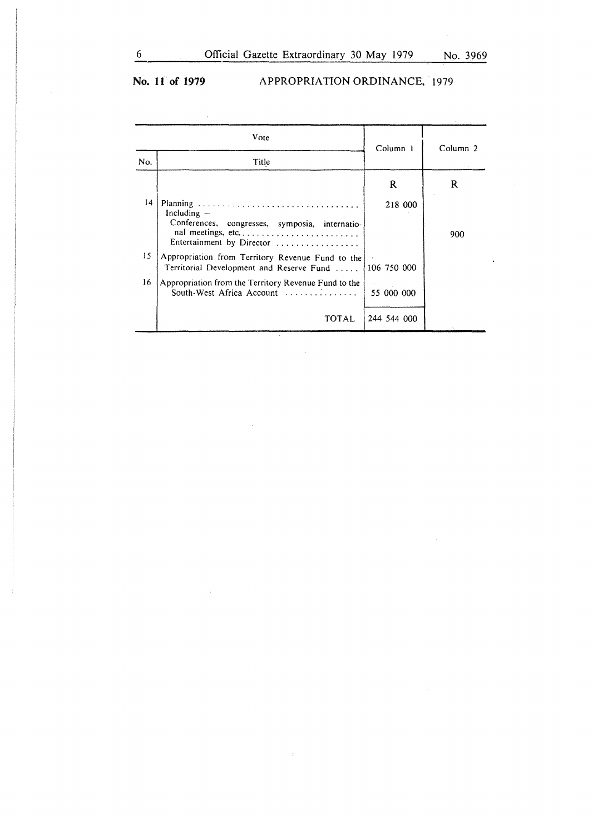$\overline{a}$ 

 $\mathcal{L}_{\mathcal{A}}$ 

# No. 11 of 1979 **APPROPRIATION ORDINANCE, 1979**

|     | Vote                                                                                                              | Column 1    | Column <sub>2</sub> |
|-----|-------------------------------------------------------------------------------------------------------------------|-------------|---------------------|
| No. | Title                                                                                                             |             |                     |
|     |                                                                                                                   | $\mathbf R$ | R                   |
| 14  | Including $-$<br>Conferences, congresses, symposia, internatio-<br>nal meetings, etc<br>Entertainment by Director | 218 000     | 900                 |
| 15  | Appropriation from Territory Revenue Fund to the<br>Territorial Development and Reserve Fund                      | 106 750 000 |                     |
| 16  | Appropriation from the Territory Revenue Fund to the<br>South-West Africa Account                                 | 55 000 000  |                     |
|     | TOTAL                                                                                                             | 244 544 000 |                     |

 $\sim 10^7$ 

 $\sim$ 

 $\sim$   $\lambda$